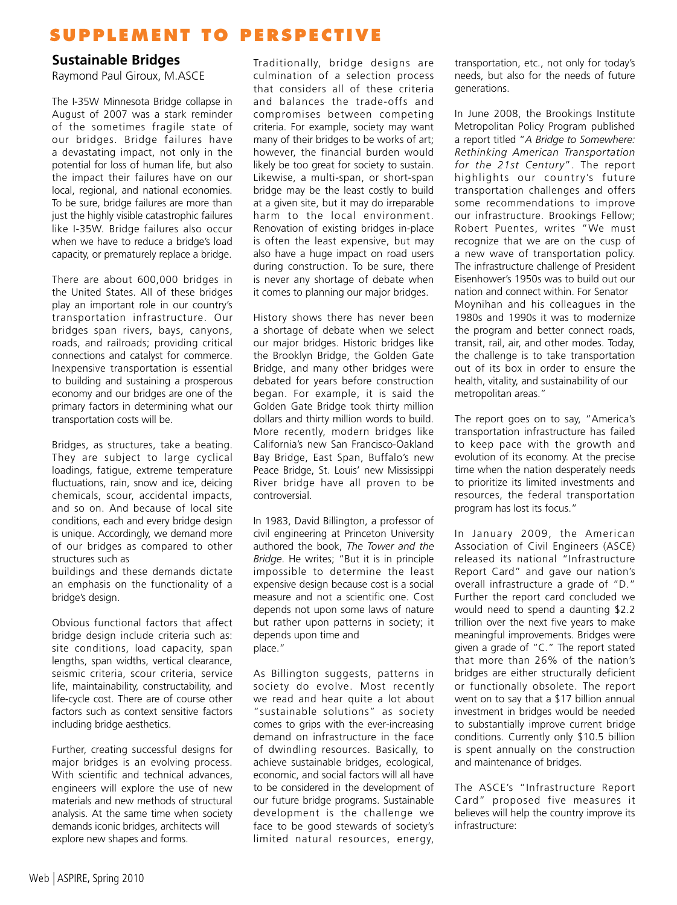#### **Sustainable Bridges**

Raymond Paul Giroux, M.ASCE

The I‐35W Minnesota Bridge collapse in August of 2007 was a stark reminder of the sometimes fragile state of our bridges. Bridge failures have a devastating impact, not only in the potential for loss of human life, but also the impact their failures have on our local, regional, and national economies. To be sure, bridge failures are more than just the highly visible catastrophic failures like I‐35W. Bridge failures also occur when we have to reduce a bridge's load capacity, or prematurely replace a bridge.

There are about 600,000 bridges in the United States. All of these bridges play an important role in our country's transportation infrastructure. Our bridges span rivers, bays, canyons, roads, and railroads; providing critical connections and catalyst for commerce. Inexpensive transportation is essential to building and sustaining a prosperous economy and our bridges are one of the primary factors in determining what our transportation costs will be.

Bridges, as structures, take a beating. They are subject to large cyclical loadings, fatigue, extreme temperature fluctuations, rain, snow and ice, deicing chemicals, scour, accidental impacts, and so on. And because of local site conditions, each and every bridge design is unique. Accordingly, we demand more of our bridges as compared to other structures such as

buildings and these demands dictate an emphasis on the functionality of a bridge's design.

Obvious functional factors that affect bridge design include criteria such as: site conditions, load capacity, span lengths, span widths, vertical clearance, seismic criteria, scour criteria, service life, maintainability, constructability, and life‐cycle cost. There are of course other factors such as context sensitive factors including bridge aesthetics.

Further, creating successful designs for major bridges is an evolving process. With scientific and technical advances, engineers will explore the use of new materials and new methods of structural analysis. At the same time when society demands iconic bridges, architects will explore new shapes and forms.

Traditionally, bridge designs are culmination of a selection process that considers all of these criteria and balances the trade‐offs and compromises between competing criteria. For example, society may want many of their bridges to be works of art; however, the financial burden would likely be too great for society to sustain. Likewise, a multi‐span, or short‐span bridge may be the least costly to build at a given site, but it may do irreparable harm to the local environment. Renovation of existing bridges in‐place is often the least expensive, but may also have a huge impact on road users during construction. To be sure, there is never any shortage of debate when it comes to planning our major bridges.

History shows there has never been a shortage of debate when we select our major bridges. Historic bridges like the Brooklyn Bridge, the Golden Gate Bridge, and many other bridges were debated for years before construction began. For example, it is said the Golden Gate Bridge took thirty million dollars and thirty million words to build. More recently, modern bridges like California's new San Francisco‐Oakland Bay Bridge, East Span, Buffalo's new Peace Bridge, St. Louis' new Mississippi River bridge have all proven to be controversial.

In 1983, David Billington, a professor of civil engineering at Princeton University authored the book, *The Tower and the Bridge*. He writes; "But it is in principle impossible to determine the least expensive design because cost is a social measure and not a scientific one. Cost depends not upon some laws of nature but rather upon patterns in society; it depends upon time and place."

As Billington suggests, patterns in society do evolve. Most recently we read and hear quite a lot about "sustainable solutions" as society comes to grips with the ever‐increasing demand on infrastructure in the face of dwindling resources. Basically, to achieve sustainable bridges, ecological, economic, and social factors will all have to be considered in the development of our future bridge programs. Sustainable development is the challenge we face to be good stewards of society's limited natural resources, energy,

transportation, etc., not only for today's needs, but also for the needs of future generations.

In June 2008, the Brookings Institute Metropolitan Policy Program published a report titled "*A Bridge to Somewhere: Rethinking American Transportation for the 21st Century*". The report highlights our country's future transportation challenges and offers some recommendations to improve our infrastructure. Brookings Fellow; Robert Puentes, writes "We must recognize that we are on the cusp of a new wave of transportation policy. The infrastructure challenge of President Eisenhower's 1950s was to build out our nation and connect within. For Senator Moynihan and his colleagues in the 1980s and 1990s it was to modernize the program and better connect roads, transit, rail, air, and other modes. Today, the challenge is to take transportation out of its box in order to ensure the health, vitality, and sustainability of our metropolitan areas."

The report goes on to say, "America's transportation infrastructure has failed to keep pace with the growth and evolution of its economy. At the precise time when the nation desperately needs to prioritize its limited investments and resources, the federal transportation program has lost its focus."

In January 2009, the American Association of Civil Engineers (ASCE) released its national "Infrastructure Report Card" and gave our nation's overall infrastructure a grade of "D." Further the report card concluded we would need to spend a daunting \$2.2 trillion over the next five years to make meaningful improvements. Bridges were given a grade of "C." The report stated that more than 26% of the nation's bridges are either structurally deficient or functionally obsolete. The report went on to say that a \$17 billion annual investment in bridges would be needed to substantially improve current bridge conditions. Currently only \$10.5 billion is spent annually on the construction and maintenance of bridges.

The ASCE's "Infrastructure Report Card" proposed five measures it believes will help the country improve its infrastructure: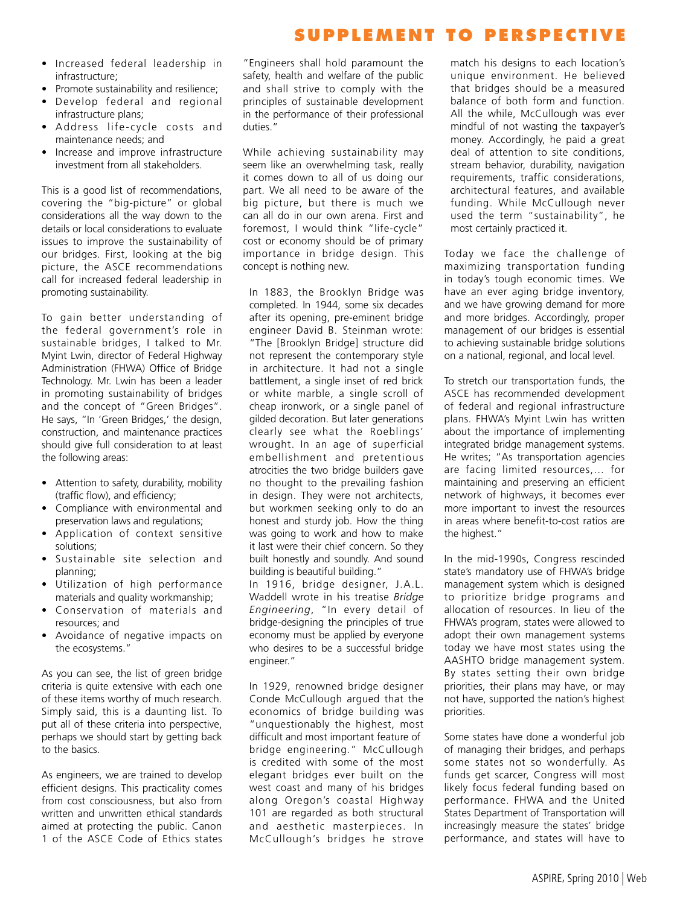- Increased federal leadership in infrastructure;
- Promote sustainability and resilience;
- Develop federal and regional infrastructure plans;
- Address life‐cycle costs and maintenance needs; and
- Increase and improve infrastructure investment from all stakeholders.

This is a good list of recommendations, covering the "big‐picture" or global considerations all the way down to the details or local considerations to evaluate issues to improve the sustainability of our bridges. First, looking at the big picture, the ASCE recommendations call for increased federal leadership in promoting sustainability.

To gain better understanding of the federal government's role in sustainable bridges, I talked to Mr. Myint Lwin, director of Federal Highway Administration (FHWA) Office of Bridge Technology. Mr. Lwin has been a leader in promoting sustainability of bridges and the concept of "Green Bridges". He says, "In 'Green Bridges,' the design, construction, and maintenance practices should give full consideration to at least the following areas:

- Attention to safety, durability, mobility (traffic flow), and efficiency;
- Compliance with environmental and preservation laws and regulations;
- Application of context sensitive solutions;
- Sustainable site selection and planning;
- Utilization of high performance materials and quality workmanship;
- Conservation of materials and resources; and
- Avoidance of negative impacts on the ecosystems."

As you can see, the list of green bridge criteria is quite extensive with each one of these items worthy of much research. Simply said, this is a daunting list. To put all of these criteria into perspective, perhaps we should start by getting back to the basics.

As engineers, we are trained to develop efficient designs. This practicality comes from cost consciousness, but also from written and unwritten ethical standards aimed at protecting the public. Canon 1 of the ASCE Code of Ethics states

"Engineers shall hold paramount the safety, health and welfare of the public and shall strive to comply with the principles of sustainable development in the performance of their professional duties."

While achieving sustainability may seem like an overwhelming task, really it comes down to all of us doing our part. We all need to be aware of the big picture, but there is much we can all do in our own arena. First and foremost, I would think "life-cycle" cost or economy should be of primary importance in bridge design. This concept is nothing new.

In 1883, the Brooklyn Bridge was completed. In 1944, some six decades after its opening, pre‐eminent bridge engineer David B. Steinman wrote: "The [Brooklyn Bridge] structure did not represent the contemporary style in architecture. It had not a single battlement, a single inset of red brick or white marble, a single scroll of cheap ironwork, or a single panel of gilded decoration. But later generations clearly see what the Roeblings' wrought. In an age of superficial embellishment and pretentious atrocities the two bridge builders gave no thought to the prevailing fashion in design. They were not architects, but workmen seeking only to do an honest and sturdy job. How the thing was going to work and how to make it last were their chief concern. So they built honestly and soundly. And sound building is beautiful building."

In 1916, bridge designer, J.A.L. Waddell wrote in his treatise *Bridge Engineering*, "In every detail of bridge‐designing the principles of true economy must be applied by everyone who desires to be a successful bridge engineer."

In 1929, renowned bridge designer Conde McCullough argued that the economics of bridge building was "unquestionably the highest, most difficult and most important feature of bridge engineering." McCullough is credited with some of the most elegant bridges ever built on the west coast and many of his bridges along Oregon's coastal Highway 101 are regarded as both structural and aesthetic masterpieces. In McCullough's bridges he strove

match his designs to each location's unique environment. He believed that bridges should be a measured balance of both form and function. All the while, McCullough was ever mindful of not wasting the taxpayer's money. Accordingly, he paid a great deal of attention to site conditions, stream behavior, durability, navigation requirements, traffic considerations, architectural features, and available funding. While McCullough never used the term "sustainability", he most certainly practiced it.

Today we face the challenge of maximizing transportation funding in today's tough economic times. We have an ever aging bridge inventory, and we have growing demand for more and more bridges. Accordingly, proper management of our bridges is essential to achieving sustainable bridge solutions on a national, regional, and local level.

To stretch our transportation funds, the ASCE has recommended development of federal and regional infrastructure plans. FHWA's Myint Lwin has written about the importance of implementing integrated bridge management systems. He writes; "As transportation agencies are facing limited resources,… for maintaining and preserving an efficient network of highways, it becomes ever more important to invest the resources in areas where benefit‐to‐cost ratios are the highest."

In the mid‐1990s, Congress rescinded state's mandatory use of FHWA's bridge management system which is designed to prioritize bridge programs and allocation of resources. In lieu of the FHWA's program, states were allowed to adopt their own management systems today we have most states using the AASHTO bridge management system. By states setting their own bridge priorities, their plans may have, or may not have, supported the nation's highest priorities.

Some states have done a wonderful job of managing their bridges, and perhaps some states not so wonderfully. As funds get scarcer, Congress will most likely focus federal funding based on performance. FHWA and the United States Department of Transportation will increasingly measure the states' bridge performance, and states will have to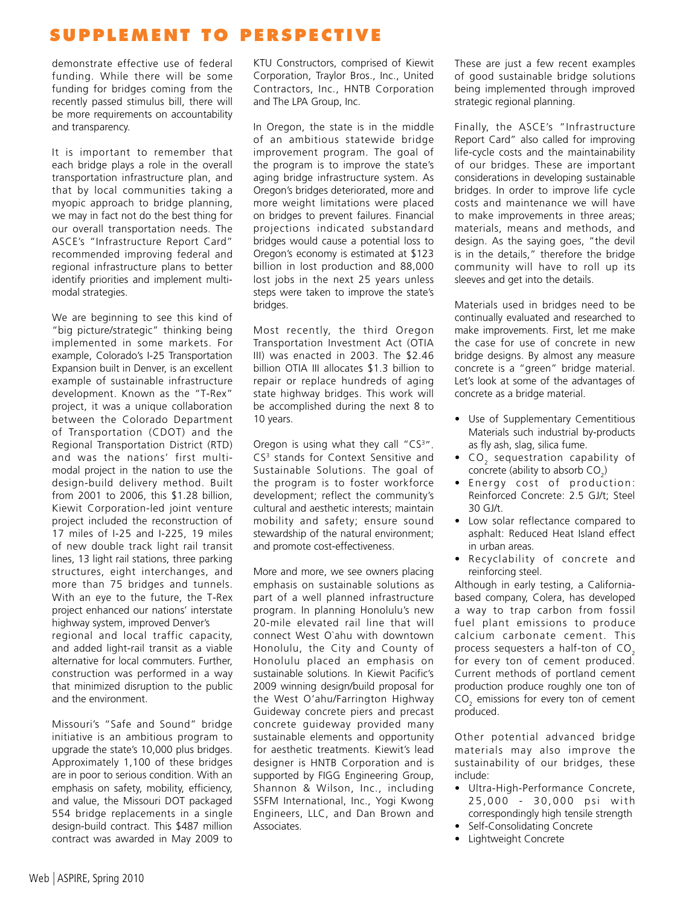demonstrate effective use of federal funding. While there will be some funding for bridges coming from the recently passed stimulus bill, there will be more requirements on accountability and transparency.

It is important to remember that each bridge plays a role in the overall transportation infrastructure plan, and that by local communities taking a myopic approach to bridge planning, we may in fact not do the best thing for our overall transportation needs. The ASCE's "Infrastructure Report Card" recommended improving federal and regional infrastructure plans to better identify priorities and implement multi‐ modal strategies.

We are beginning to see this kind of "big picture/strategic" thinking being implemented in some markets. For example, Colorado's I‐25 Transportation Expansion built in Denver, is an excellent example of sustainable infrastructure development. Known as the "T‐Rex" project, it was a unique collaboration between the Colorado Department of Transportation (CDOT) and the Regional Transportation District (RTD) and was the nations' first multi‐ modal project in the nation to use the design‐build delivery method. Built from 2001 to 2006, this \$1.28 billion, Kiewit Corporation‐led joint venture project included the reconstruction of 17 miles of I‐25 and I‐225, 19 miles of new double track light rail transit lines, 13 light rail stations, three parking structures, eight interchanges, and more than 75 bridges and tunnels. With an eye to the future, the T‐Rex project enhanced our nations' interstate highway system, improved Denver's regional and local traffic capacity, and added light‐rail transit as a viable alternative for local commuters. Further, construction was performed in a way that minimized disruption to the public

Missouri's "Safe and Sound" bridge initiative is an ambitious program to upgrade the state's 10,000 plus bridges. Approximately 1,100 of these bridges are in poor to serious condition. With an emphasis on safety, mobility, efficiency, and value, the Missouri DOT packaged 554 bridge replacements in a single design‐build contract. This \$487 million contract was awarded in May 2009 to

KTU Constructors, comprised of Kiewit Corporation, Traylor Bros., Inc., United Contractors, Inc., HNTB Corporation and The LPA Group, Inc.

In Oregon, the state is in the middle of an ambitious statewide bridge improvement program. The goal of the program is to improve the state's aging bridge infrastructure system. As Oregon's bridges deteriorated, more and more weight limitations were placed on bridges to prevent failures. Financial projections indicated substandard bridges would cause a potential loss to Oregon's economy is estimated at \$123 billion in lost production and 88,000 lost jobs in the next 25 years unless steps were taken to improve the state's bridges.

Most recently, the third Oregon Transportation Investment Act (OTIA III) was enacted in 2003. The \$2.46 billion OTIA III allocates \$1.3 billion to repair or replace hundreds of aging state highway bridges. This work will be accomplished during the next 8 to 10 years.

Oregon is using what they call "CS<sup>3</sup>". CS<sup>3</sup> stands for Context Sensitive and Sustainable Solutions. The goal of the program is to foster workforce development; reflect the community's cultural and aesthetic interests; maintain mobility and safety; ensure sound stewardship of the natural environment; and promote cost-effectiveness.

More and more, we see owners placing emphasis on sustainable solutions as part of a well planned infrastructure program. In planning Honolulu's new 20‐mile elevated rail line that will connect West O`ahu with downtown Honolulu, the City and County of Honolulu placed an emphasis on sustainable solutions. In Kiewit Pacific's 2009 winning design/build proposal for the West O'ahu/Farrington Highway Guideway concrete piers and precast concrete guideway provided many sustainable elements and opportunity for aesthetic treatments. Kiewit's lead designer is HNTB Corporation and is supported by FIGG Engineering Group, Shannon & Wilson, Inc., including SSFM International, Inc., Yogi Kwong Engineers, LLC, and Dan Brown and Associates.

These are just a few recent examples of good sustainable bridge solutions being implemented through improved strategic regional planning.

Finally, the ASCE's "Infrastructure Report Card" also called for improving life‐cycle costs and the maintainability of our bridges. These are important considerations in developing sustainable bridges. In order to improve life cycle costs and maintenance we will have to make improvements in three areas; materials, means and methods, and design. As the saying goes, "the devil is in the details," therefore the bridge community will have to roll up its sleeves and get into the details.

Materials used in bridges need to be continually evaluated and researched to make improvements. First, let me make the case for use of concrete in new bridge designs. By almost any measure concrete is a "green" bridge material. Let's look at some of the advantages of concrete as a bridge material.

- Use of Supplementary Cementitious Materials such industrial by‐products as fly ash, slag, silica fume.
- CO<sub>2</sub> sequestration capability of concrete (ability to absorb  $CO<sub>2</sub>$ )
- Energy cost of production: Reinforced Concrete: 2.5 GJ/t; Steel 30 GJ/t.
- Low solar reflectance compared to asphalt: Reduced Heat Island effect in urban areas.
- Recyclability of concrete and reinforcing steel.

Although in early testing, a California‐ based company, Colera, has developed a way to trap carbon from fossil fuel plant emissions to produce calcium carbonate cement. This process sequesters a half-ton of  $CO<sub>2</sub>$ for every ton of cement produced. Current methods of portland cement production produce roughly one ton of  $\mathsf{CO}_2$  emissions for every ton of cement produced.

Other potential advanced bridge materials may also improve the sustainability of our bridges, these include:

- Ultra‐High‐Performance Concrete, 25,000 - 30,000 psi with correspondingly high tensile strength
- Self‐Consolidating Concrete
- Lightweight Concrete

and the environment.